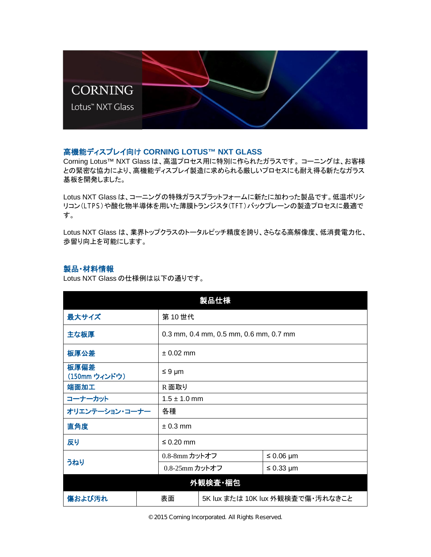

## 㧗ᶵ⬟䝕䜱䝇䝥䝺䜲ྥ䛡 **CORNING LOTUS™ NXT GLASS**

Corning Lotus™ NXT Glass は、高温プロセス用に特別に作られたガラスです。 コーニングは、お客様 との緊密な協力により、高機能ディスプレイ製造に求められる厳しいプロセスにも耐え得る新たなガラス 基板を開発しました。

Lotus NXT Glass は、コーニングの特殊ガラスプラットフォームに新たに加わった製品です。低温ポリシ リコン(LTPS)や酸化物半導体を用いた薄膜トランジスタ(TFT)バックプレーンの製造プロセスに最適で す。

Lotus NXT Glass は、業界トップクラスのトータルピッチ精度を誇り、さらなる高解像度、低消費電力化、 歩留り向上を可能にします。

## 製品·材料情報

Lotus NXT Glass の仕様例は以下の通りです。

| 製品仕様                  |  |                                        |  |                |  |
|-----------------------|--|----------------------------------------|--|----------------|--|
| 最大サイズ                 |  | 第10世代                                  |  |                |  |
| 主な板厚                  |  | 0.3 mm, 0.4 mm, 0.5 mm, 0.6 mm, 0.7 mm |  |                |  |
| 板厚公差                  |  | $± 0.02$ mm                            |  |                |  |
| 板厚偏差<br>(150mm ウィンドウ) |  | $\leq 9 \mu m$                         |  |                |  |
| 端面加工                  |  | R面取り                                   |  |                |  |
| コーナーカット               |  | $1.5 \pm 1.0$ mm                       |  |                |  |
| オリエンテーション・コーナー        |  | 各種                                     |  |                |  |
| 直角度                   |  | $± 0.3$ mm                             |  |                |  |
| 反り                    |  | $\leq 0.20$ mm                         |  |                |  |
| うねり                   |  | 0.8-8mm カットオフ                          |  | $\leq 0.06$ µm |  |
|                       |  | 0.8-25mm カットオフ                         |  | $\leq$ 0.33 µm |  |
| 外観検査 梱包               |  |                                        |  |                |  |
| 傷および汚れ                |  | 5K lux または 10K lux 外観検査で傷・汚れなきこと<br>表面 |  |                |  |

© 2015 Corning Incorporated. All Rights Reserved.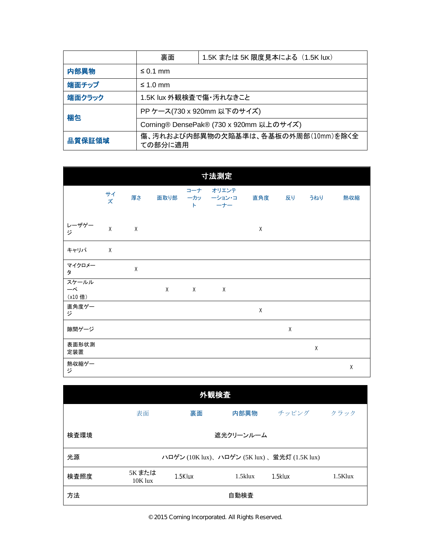|                                                          | 裏面                                      | 1.5K または 5K 限度見本による (1.5K lux) |  |  |  |
|----------------------------------------------------------|-----------------------------------------|--------------------------------|--|--|--|
| 内部異物                                                     | $\leq$ 0.1 mm                           |                                |  |  |  |
| 端面チップ                                                    | $\leq 1.0$ mm                           |                                |  |  |  |
| 端面クラック                                                   | 1.5K lux 外観検査で傷・汚れなきこと                  |                                |  |  |  |
| 梱包                                                       | PP ケース(730 x 920mm 以下のサイズ)              |                                |  |  |  |
|                                                          | Corning® DensePak® (730 x 920mm 以上のサイズ) |                                |  |  |  |
| 傷、汚れおよび内部異物の欠陥基準は、各基板の外周部(10mm)を除く全<br>品質保証領域<br>ての部分に適用 |                                         |                                |  |  |  |

| 寸法測定                              |              |          |      |                        |                        |             |             |             |     |
|-----------------------------------|--------------|----------|------|------------------------|------------------------|-------------|-------------|-------------|-----|
|                                   | サイズ          | 厚さ       | 面取り部 | コーナ<br>ーカッ<br>$\vdash$ | オリエンテ<br>ーション・コ<br>ーナー | 直角度         | 反り          | うねり         | 熱収縮 |
| レーザゲー<br>ジ                        | $\mathsf{X}$ | X        |      |                        |                        | $\mathsf X$ |             |             |     |
| キャリパ                              | $\times$     |          |      |                        |                        |             |             |             |     |
| マイクロメー<br>タ                       |              | $\times$ |      |                        |                        |             |             |             |     |
| スケールル<br>$-\mathcal{L}$<br>(x10倍) |              |          | X    | X                      | X                      |             |             |             |     |
| 直角度ゲー<br>ジ                        |              |          |      |                        |                        | X           |             |             |     |
| 隙間ゲージ                             |              |          |      |                        |                        |             | $\mathsf X$ |             |     |
| 表面形状測<br>定装置                      |              |          |      |                        |                        |             |             | $\mathsf X$ |     |
| 熱収縮ゲー<br>ジ                        |              |          |      |                        |                        |             |             |             | Χ   |

| 外観検査 |                     |         |            |                                             |            |  |  |
|------|---------------------|---------|------------|---------------------------------------------|------------|--|--|
|      | 表面                  | 裏面      | 内部異物       | チッピング                                       | クラック       |  |  |
| 検査環境 |                     |         | 遮光クリーンルーム  |                                             |            |  |  |
| 光源   |                     |         |            | ハロゲン (10K lux)、ハロゲン (5K lux)、蛍光灯 (1.5K lux) |            |  |  |
| 検査照度 | 5K または<br>$10K$ lux | 1.5Klux | $1.5$ klux | 1.5klux                                     | $1.5$ Klux |  |  |
| 方法   |                     |         | 自動検査       |                                             |            |  |  |

© 2015 Corning Incorporated. All Rights Reserved.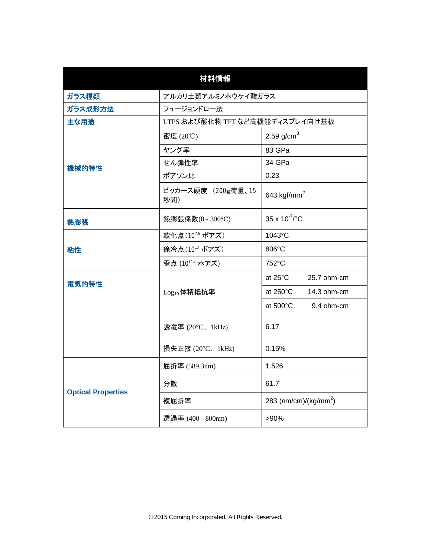| 材料情報                      |                                 |                                   |             |  |  |
|---------------------------|---------------------------------|-----------------------------------|-------------|--|--|
| ガラス種類                     | アルカリ土類アルミノホウケイ酸ガラス              |                                   |             |  |  |
| ガラス成形方法                   | フュージョンドロー法                      |                                   |             |  |  |
| 主な用途                      | LTPS および酸化物 TFT など高機能ディスプレイ向け基板 |                                   |             |  |  |
|                           | 2.59 $g/cm3$<br>密度 (20℃)        |                                   |             |  |  |
|                           | ヤング率<br>83 GPa                  |                                   |             |  |  |
| 機械的特性                     | 34 GPa<br>せん弾性率                 |                                   |             |  |  |
|                           | ポアソン比                           | 0.23                              |             |  |  |
|                           | ビッカース硬度 (200g荷重、15<br>秒間)       | 643 kgf/mm <sup>2</sup>           |             |  |  |
| 熱膨張                       | 熱膨張係数(0 - 300°C)                | $35 \times 10^{-7}$ /°C           |             |  |  |
|                           | 軟化点(107.6 ポアズ)                  | 1043°C                            |             |  |  |
| 粘性                        | 徐冷点(1013 ポアズ)                   | 806°C                             |             |  |  |
|                           | 歪点 (1014.5 ポアズ)                 | 752°C                             |             |  |  |
| 電気的特性                     |                                 | at 25°C                           | 25.7 ohm-cm |  |  |
|                           | $Log_{10}$ 体積抵抗率                | at $250^{\circ}$ C                | 14.3 ohm-cm |  |  |
|                           |                                 | at 500°C                          | 9.4 ohm-cm  |  |  |
|                           | 誘電率 (20°C、1kHz)                 | 6.17                              |             |  |  |
|                           | 損失正接 (20°C、1kHz)                | 0.15%                             |             |  |  |
|                           | 屈折率 (589.3nm)<br>1.526          |                                   |             |  |  |
| <b>Optical Properties</b> | 分散                              | 61.7                              |             |  |  |
|                           | 複屈折率                            | 283 (nm/cm)/(kg/mm <sup>2</sup> ) |             |  |  |
|                           | 透過率 (400 - 800nm)               | $>90\%$                           |             |  |  |